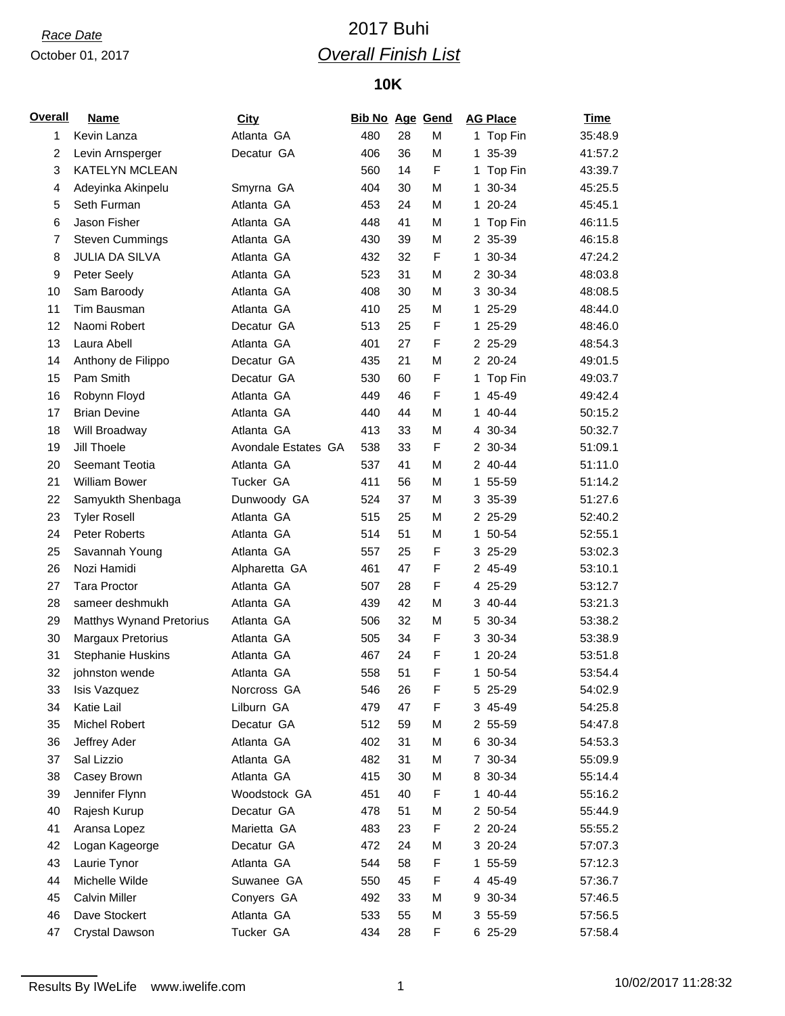### October 01, 2017

# *Race Date* 2017 Buhi *Overall Finish List*

## **10K**

| <b>Overall</b> | <b>Name</b>              | <b>City</b>         | <b>Bib No Age Gend</b> |    |   |    | <b>AG Place</b> | <b>Time</b> |
|----------------|--------------------------|---------------------|------------------------|----|---|----|-----------------|-------------|
| 1              | Kevin Lanza              | Atlanta GA          | 480                    | 28 | М |    | 1 Top Fin       | 35:48.9     |
| $\overline{c}$ | Levin Arnsperger         | Decatur GA          | 406                    | 36 | М | 1. | 35-39           | 41:57.2     |
| 3              | <b>KATELYN MCLEAN</b>    |                     | 560                    | 14 | F |    | 1 Top Fin       | 43:39.7     |
| 4              | Adeyinka Akinpelu        | Smyrna GA           | 404                    | 30 | М |    | 1 30-34         | 45:25.5     |
| 5              | Seth Furman              | Atlanta GA          | 453                    | 24 | М |    | 1 20-24         | 45:45.1     |
| 6              | Jason Fisher             | Atlanta GA          | 448                    | 41 | М | 1  | Top Fin         | 46:11.5     |
| 7              | <b>Steven Cummings</b>   | Atlanta GA          | 430                    | 39 | М |    | 2 35-39         | 46:15.8     |
| 8              | <b>JULIA DA SILVA</b>    | Atlanta GA          | 432                    | 32 | F |    | 1 30-34         | 47:24.2     |
| 9              | Peter Seely              | Atlanta GA          | 523                    | 31 | М |    | 2 30-34         | 48:03.8     |
| 10             | Sam Baroody              | Atlanta GA          | 408                    | 30 | М |    | 3 30-34         | 48:08.5     |
| 11             | Tim Bausman              | Atlanta GA          | 410                    | 25 | M |    | 1 25-29         | 48:44.0     |
| 12             | Naomi Robert             | Decatur GA          | 513                    | 25 | F |    | 1 25-29         | 48:46.0     |
| 13             | Laura Abell              | Atlanta GA          | 401                    | 27 | F |    | 2 25-29         | 48:54.3     |
| 14             | Anthony de Filippo       | Decatur GA          | 435                    | 21 | М |    | 2 20-24         | 49:01.5     |
| 15             | Pam Smith                | Decatur GA          | 530                    | 60 | F |    | 1 Top Fin       | 49:03.7     |
| 16             | Robynn Floyd             | Atlanta GA          | 449                    | 46 | F |    | 1 45-49         | 49:42.4     |
| 17             | <b>Brian Devine</b>      | Atlanta GA          | 440                    | 44 | М |    | 1 40-44         | 50:15.2     |
| 18             | Will Broadway            | Atlanta GA          | 413                    | 33 | M |    | 4 30-34         | 50:32.7     |
| 19             | Jill Thoele              | Avondale Estates GA | 538                    | 33 | F |    | 2 30-34         | 51:09.1     |
| 20             | Seemant Teotia           | Atlanta GA          | 537                    | 41 | М |    | 2 40-44         | 51:11.0     |
| 21             | <b>William Bower</b>     | Tucker GA           | 411                    | 56 | M |    | 1 55-59         | 51:14.2     |
| 22             | Samyukth Shenbaga        | Dunwoody GA         | 524                    | 37 | М |    | 3 35-39         | 51:27.6     |
| 23             | <b>Tyler Rosell</b>      | Atlanta GA          | 515                    | 25 | М |    | 2 25-29         | 52:40.2     |
| 24             | Peter Roberts            | Atlanta GA          | 514                    | 51 | М |    | 1 50-54         | 52:55.1     |
| 25             | Savannah Young           | Atlanta GA          | 557                    | 25 | F |    | 3 25-29         | 53:02.3     |
| 26             | Nozi Hamidi              | Alpharetta GA       | 461                    | 47 | F |    | 2 45-49         | 53:10.1     |
| 27             | <b>Tara Proctor</b>      | Atlanta GA          | 507                    | 28 | F |    | 4 25-29         | 53:12.7     |
| 28             | sameer deshmukh          | Atlanta GA          | 439                    | 42 | M |    | 3 40-44         | 53:21.3     |
| 29             | Matthys Wynand Pretorius | Atlanta GA          | 506                    | 32 | М |    | 5 30-34         | 53:38.2     |
| 30             | Margaux Pretorius        | Atlanta GA          | 505                    | 34 | F |    | 3 30-34         | 53:38.9     |
| 31             | <b>Stephanie Huskins</b> | Atlanta GA          | 467                    | 24 | F |    | 1 20-24         | 53:51.8     |
| 32             | johnston wende           | Atlanta GA          | 558                    | 51 | F |    | 1 50-54         | 53:54.4     |
| 33             | Isis Vazquez             | Norcross GA         | 546                    | 26 | F |    | 5 25-29         | 54:02.9     |
| 34             | Katie Lail               | Lilburn GA          | 479                    | 47 | F |    | 3 45-49         | 54:25.8     |
| 35             | Michel Robert            | Decatur GA          | 512                    | 59 | М |    | 2 55-59         | 54:47.8     |
| 36             | Jeffrey Ader             | Atlanta GA          | 402                    | 31 | М |    | 6 30-34         | 54:53.3     |
| 37             | Sal Lizzio               | Atlanta GA          | 482                    | 31 | М |    | 7 30-34         | 55:09.9     |
| 38             | Casey Brown              | Atlanta GA          | 415                    | 30 | M |    | 8 30-34         | 55:14.4     |
| 39             | Jennifer Flynn           | Woodstock GA        | 451                    | 40 | F |    | 1 40-44         | 55:16.2     |
| 40             | Rajesh Kurup             | Decatur GA          | 478                    | 51 | M |    | 2 50-54         | 55:44.9     |
| 41             | Aransa Lopez             | Marietta GA         | 483                    | 23 | F |    | 2 20-24         | 55:55.2     |
| 42             | Logan Kageorge           | Decatur GA          | 472                    | 24 | M |    | 3 20-24         | 57:07.3     |
| 43             | Laurie Tynor             | Atlanta GA          | 544                    | 58 | F |    | 1 55-59         | 57:12.3     |
| 44             | Michelle Wilde           | Suwanee GA          | 550                    | 45 | F |    | 4 45-49         | 57:36.7     |
| 45             | <b>Calvin Miller</b>     | Conyers GA          | 492                    | 33 | М |    | 9 30-34         | 57:46.5     |
| 46             | Dave Stockert            | Atlanta GA          | 533                    | 55 | М |    | 3 55-59         | 57:56.5     |
| 47             | Crystal Dawson           | Tucker GA           | 434                    | 28 | F |    | 6 25-29         | 57:58.4     |
|                |                          |                     |                        |    |   |    |                 |             |

Results By IWeLife www.iwelife.com 1 10/02/2017 11:28:32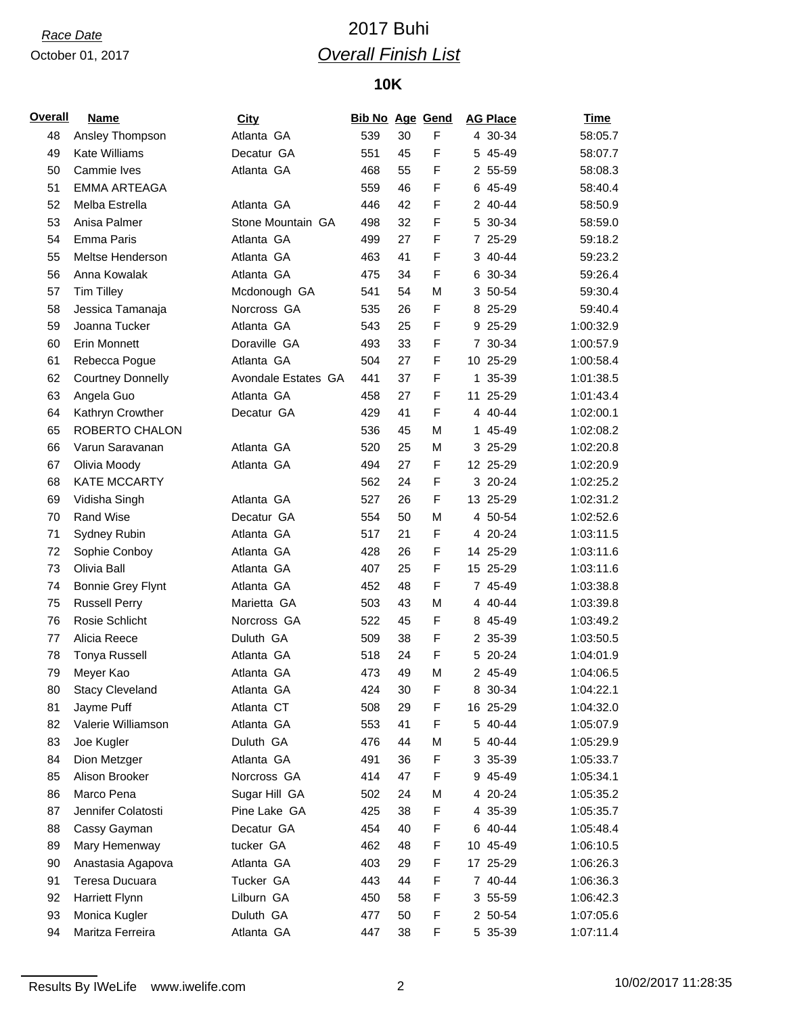### October 01, 2017

# *Race Date* 2017 Buhi *Overall Finish List*

## **10K**

| <b>Overall</b> | <b>Name</b>              | <b>City</b>         | <b>Bib No Age Gend</b> |    |   | <b>AG Place</b> | <b>Time</b> |
|----------------|--------------------------|---------------------|------------------------|----|---|-----------------|-------------|
| 48             | Ansley Thompson          | Atlanta GA          | 539                    | 30 | F | 4 30-34         | 58:05.7     |
| 49             | <b>Kate Williams</b>     | Decatur GA          | 551                    | 45 | F | 5 45-49         | 58:07.7     |
| 50             | Cammie Ives              | Atlanta GA          | 468                    | 55 | F | 2 55-59         | 58:08.3     |
| 51             | <b>EMMA ARTEAGA</b>      |                     | 559                    | 46 | F | 6 45-49         | 58:40.4     |
| 52             | Melba Estrella           | Atlanta GA          | 446                    | 42 | F | 2 40-44         | 58:50.9     |
| 53             | Anisa Palmer             | Stone Mountain GA   | 498                    | 32 | F | 5 30-34         | 58:59.0     |
| 54             | Emma Paris               | Atlanta GA          | 499                    | 27 | F | 7 25-29         | 59:18.2     |
| 55             | Meltse Henderson         | Atlanta GA          | 463                    | 41 | F | 3 40-44         | 59:23.2     |
| 56             | Anna Kowalak             | Atlanta GA          | 475                    | 34 | F | 6 30-34         | 59:26.4     |
| 57             | <b>Tim Tilley</b>        | Mcdonough GA        | 541                    | 54 | М | 3 50-54         | 59:30.4     |
| 58             | Jessica Tamanaja         | Norcross GA         | 535                    | 26 | F | 8 25-29         | 59:40.4     |
| 59             | Joanna Tucker            | Atlanta GA          | 543                    | 25 | F | 9 25-29         | 1:00:32.9   |
| 60             | <b>Erin Monnett</b>      | Doraville GA        | 493                    | 33 | F | 7 30-34         | 1:00:57.9   |
| 61             | Rebecca Pogue            | Atlanta GA          | 504                    | 27 | F | 10 25-29        | 1:00:58.4   |
| 62             | <b>Courtney Donnelly</b> | Avondale Estates GA | 441                    | 37 | F | 1 35-39         | 1:01:38.5   |
| 63             | Angela Guo               | Atlanta GA          | 458                    | 27 | F | 11 25-29        | 1:01:43.4   |
| 64             | Kathryn Crowther         | Decatur GA          | 429                    | 41 | F | 4 40-44         | 1:02:00.1   |
| 65             | ROBERTO CHALON           |                     | 536                    | 45 | М | 1 45-49         | 1:02:08.2   |
| 66             | Varun Saravanan          | Atlanta GA          | 520                    | 25 | M | 3 25-29         | 1:02:20.8   |
| 67             | Olivia Moody             | Atlanta GA          | 494                    | 27 | F | 12 25-29        | 1:02:20.9   |
| 68             | <b>KATE MCCARTY</b>      |                     | 562                    | 24 | F | 3 20-24         | 1:02:25.2   |
| 69             | Vidisha Singh            | Atlanta GA          | 527                    | 26 | F | 13 25-29        | 1:02:31.2   |
| 70             | Rand Wise                | Decatur GA          | 554                    | 50 | M | 4 50-54         | 1:02:52.6   |
| 71             | Sydney Rubin             | Atlanta GA          | 517                    | 21 | F | 4 20-24         | 1:03:11.5   |
| 72             | Sophie Conboy            | Atlanta GA          | 428                    | 26 | F | 14 25-29        | 1:03:11.6   |
| 73             | Olivia Ball              | Atlanta GA          | 407                    | 25 | F | 15 25-29        | 1:03:11.6   |
| 74             | <b>Bonnie Grey Flynt</b> | Atlanta GA          | 452                    | 48 | F | 7 45-49         | 1:03:38.8   |
| 75             | <b>Russell Perry</b>     | Marietta GA         | 503                    | 43 | M | 4 40-44         | 1:03:39.8   |
| 76             | Rosie Schlicht           | Norcross GA         | 522                    | 45 | F | 8 45-49         | 1:03:49.2   |
| 77             | Alicia Reece             | Duluth GA           | 509                    | 38 | F | 2 35-39         | 1:03:50.5   |
| 78             | <b>Tonya Russell</b>     | Atlanta GA          | 518                    | 24 | F | 5 20-24         | 1:04:01.9   |
| 79             | Meyer Kao                | Atlanta GA          | 473                    | 49 | M | 2 45-49         | 1:04:06.5   |
| 80             | <b>Stacy Cleveland</b>   | Atlanta GA          | 424                    | 30 | F | 8 30-34         | 1:04:22.1   |
| 81             | Jayme Puff               | Atlanta CT          | 508                    | 29 | F | 16 25-29        | 1:04:32.0   |
| 82             | Valerie Williamson       | Atlanta GA          | 553                    | 41 | F | 5 40-44         | 1:05:07.9   |
| 83             | Joe Kugler               | Duluth GA           | 476                    | 44 | M | 5 40-44         | 1:05:29.9   |
| 84             | Dion Metzger             | Atlanta GA          | 491                    | 36 | F | 3 35-39         | 1:05:33.7   |
| 85             | Alison Brooker           | Norcross GA         | 414                    | 47 | F | 9 45-49         | 1:05:34.1   |
| 86             | Marco Pena               | Sugar Hill GA       | 502                    | 24 | M | 4 20-24         | 1:05:35.2   |
| 87             | Jennifer Colatosti       | Pine Lake GA        | 425                    | 38 | F | 4 35-39         | 1:05:35.7   |
| 88             | Cassy Gayman             | Decatur GA          | 454                    | 40 | F | 6 40-44         | 1:05:48.4   |
| 89             | Mary Hemenway            | tucker GA           | 462                    | 48 | F | 10 45-49        | 1:06:10.5   |
| 90             | Anastasia Agapova        | Atlanta GA          | 403                    | 29 | F | 17 25-29        | 1:06:26.3   |
| 91             | Teresa Ducuara           | Tucker GA           | 443                    | 44 | F | 7 40-44         | 1:06:36.3   |
| 92             | Harriett Flynn           | Lilburn GA          | 450                    | 58 | F | 3 55-59         | 1:06:42.3   |
| 93             | Monica Kugler            | Duluth GA           | 477                    | 50 | F | 2 50-54         | 1:07:05.6   |
| 94             | Maritza Ferreira         | Atlanta GA          | 447                    | 38 | F | 5 35-39         | 1:07:11.4   |